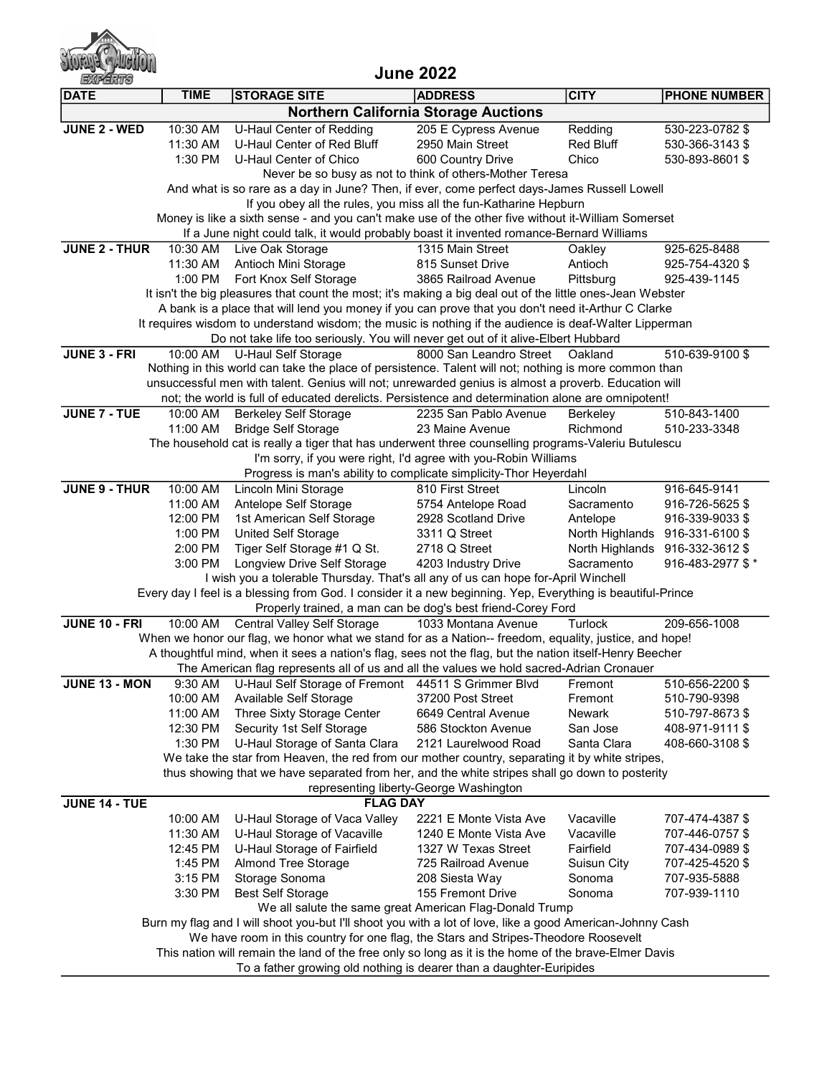| <b>June 2022</b>                                                                                                                                                                                    |                                                                                                      |                                                                                                                                                                                                           |                                                          |                        |                                    |  |  |  |
|-----------------------------------------------------------------------------------------------------------------------------------------------------------------------------------------------------|------------------------------------------------------------------------------------------------------|-----------------------------------------------------------------------------------------------------------------------------------------------------------------------------------------------------------|----------------------------------------------------------|------------------------|------------------------------------|--|--|--|
| <b>DATE</b>                                                                                                                                                                                         | <b>TIME</b>                                                                                          | <b>STORAGE SITE</b>                                                                                                                                                                                       | <b>ADDRESS</b>                                           | <b>CITY</b>            | <b>PHONE NUMBER</b>                |  |  |  |
| <b>Northern California Storage Auctions</b>                                                                                                                                                         |                                                                                                      |                                                                                                                                                                                                           |                                                          |                        |                                    |  |  |  |
| JUNE 2 - WED                                                                                                                                                                                        | 10:30 AM                                                                                             | U-Haul Center of Redding                                                                                                                                                                                  | 205 E Cypress Avenue                                     | Redding                | 530-223-0782 \$                    |  |  |  |
|                                                                                                                                                                                                     | 11:30 AM                                                                                             | U-Haul Center of Red Bluff                                                                                                                                                                                | 2950 Main Street                                         | <b>Red Bluff</b>       | 530-366-3143 \$                    |  |  |  |
|                                                                                                                                                                                                     | 1:30 PM                                                                                              | U-Haul Center of Chico                                                                                                                                                                                    | 600 Country Drive                                        | Chico                  | 530-893-8601 \$                    |  |  |  |
|                                                                                                                                                                                                     |                                                                                                      |                                                                                                                                                                                                           | Never be so busy as not to think of others-Mother Teresa |                        |                                    |  |  |  |
|                                                                                                                                                                                                     |                                                                                                      | And what is so rare as a day in June? Then, if ever, come perfect days-James Russell Lowell<br>If you obey all the rules, you miss all the fun-Katharine Hepburn                                          |                                                          |                        |                                    |  |  |  |
|                                                                                                                                                                                                     |                                                                                                      | Money is like a sixth sense - and you can't make use of the other five without it-William Somerset                                                                                                        |                                                          |                        |                                    |  |  |  |
|                                                                                                                                                                                                     |                                                                                                      | If a June night could talk, it would probably boast it invented romance-Bernard Williams                                                                                                                  |                                                          |                        |                                    |  |  |  |
| JUNE 2 - THUR                                                                                                                                                                                       | 10:30 AM                                                                                             | Live Oak Storage                                                                                                                                                                                          | 1315 Main Street                                         | Oakley                 | 925-625-8488                       |  |  |  |
|                                                                                                                                                                                                     | 11:30 AM                                                                                             | Antioch Mini Storage                                                                                                                                                                                      | 815 Sunset Drive                                         | Antioch                | 925-754-4320 \$                    |  |  |  |
|                                                                                                                                                                                                     | 1:00 PM                                                                                              | Fort Knox Self Storage                                                                                                                                                                                    | 3865 Railroad Avenue                                     | Pittsburg              | 925-439-1145                       |  |  |  |
|                                                                                                                                                                                                     |                                                                                                      | It isn't the big pleasures that count the most; it's making a big deal out of the little ones-Jean Webster                                                                                                |                                                          |                        |                                    |  |  |  |
|                                                                                                                                                                                                     |                                                                                                      | A bank is a place that will lend you money if you can prove that you don't need it-Arthur C Clarke                                                                                                        |                                                          |                        |                                    |  |  |  |
|                                                                                                                                                                                                     |                                                                                                      | It requires wisdom to understand wisdom; the music is nothing if the audience is deaf-Walter Lipperman                                                                                                    |                                                          |                        |                                    |  |  |  |
|                                                                                                                                                                                                     |                                                                                                      | Do not take life too seriously. You will never get out of it alive-Elbert Hubbard                                                                                                                         |                                                          |                        |                                    |  |  |  |
| JUNE 3 - FRI                                                                                                                                                                                        | 10:00 AM                                                                                             | <b>U-Haul Self Storage</b>                                                                                                                                                                                | 8000 San Leandro Street                                  | Oakland                | 510-639-9100 \$                    |  |  |  |
|                                                                                                                                                                                                     |                                                                                                      | Nothing in this world can take the place of persistence. Talent will not; nothing is more common than                                                                                                     |                                                          |                        |                                    |  |  |  |
|                                                                                                                                                                                                     |                                                                                                      | unsuccessful men with talent. Genius will not; unrewarded genius is almost a proverb. Education will<br>not; the world is full of educated derelicts. Persistence and determination alone are omnipotent! |                                                          |                        |                                    |  |  |  |
| JUNE 7 - TUE                                                                                                                                                                                        | 10:00 AM                                                                                             | <b>Berkeley Self Storage</b>                                                                                                                                                                              | 2235 San Pablo Avenue                                    | Berkeley               | 510-843-1400                       |  |  |  |
|                                                                                                                                                                                                     | 11:00 AM                                                                                             | <b>Bridge Self Storage</b>                                                                                                                                                                                | 23 Maine Avenue                                          | Richmond               | 510-233-3348                       |  |  |  |
|                                                                                                                                                                                                     |                                                                                                      | The household cat is really a tiger that has underwent three counselling programs-Valeriu Butulescu                                                                                                       |                                                          |                        |                                    |  |  |  |
|                                                                                                                                                                                                     |                                                                                                      | I'm sorry, if you were right, I'd agree with you-Robin Williams                                                                                                                                           |                                                          |                        |                                    |  |  |  |
|                                                                                                                                                                                                     |                                                                                                      | Progress is man's ability to complicate simplicity-Thor Heyerdahl                                                                                                                                         |                                                          |                        |                                    |  |  |  |
| <b>JUNE 9 - THUR</b>                                                                                                                                                                                | 10:00 AM                                                                                             | Lincoln Mini Storage                                                                                                                                                                                      | 810 First Street                                         | Lincoln                | 916-645-9141                       |  |  |  |
|                                                                                                                                                                                                     | 11:00 AM                                                                                             | Antelope Self Storage                                                                                                                                                                                     | 5754 Antelope Road                                       | Sacramento             | 916-726-5625 \$                    |  |  |  |
|                                                                                                                                                                                                     | 12:00 PM                                                                                             | 1st American Self Storage                                                                                                                                                                                 | 2928 Scotland Drive                                      | Antelope               | 916-339-9033 \$                    |  |  |  |
|                                                                                                                                                                                                     | 1:00 PM                                                                                              | United Self Storage                                                                                                                                                                                       | 3311 Q Street                                            | North Highlands        | 916-331-6100 \$                    |  |  |  |
|                                                                                                                                                                                                     | 2:00 PM                                                                                              | Tiger Self Storage #1 Q St.                                                                                                                                                                               | 2718 Q Street                                            | North Highlands        | 916-332-3612 \$                    |  |  |  |
|                                                                                                                                                                                                     | 3:00 PM                                                                                              | Longview Drive Self Storage                                                                                                                                                                               | 4203 Industry Drive                                      | Sacramento             | 916-483-2977 \$*                   |  |  |  |
|                                                                                                                                                                                                     |                                                                                                      | I wish you a tolerable Thursday. That's all any of us can hope for-April Winchell                                                                                                                         |                                                          |                        |                                    |  |  |  |
|                                                                                                                                                                                                     |                                                                                                      | Every day I feel is a blessing from God. I consider it a new beginning. Yep, Everything is beautiful-Prince                                                                                               |                                                          |                        |                                    |  |  |  |
|                                                                                                                                                                                                     |                                                                                                      | Properly trained, a man can be dog's best friend-Corey Ford                                                                                                                                               |                                                          |                        | 209-656-1008                       |  |  |  |
| <b>JUNE 10 - FRI</b>                                                                                                                                                                                | 10:00 AM                                                                                             | <b>Central Valley Self Storage</b><br>When we honor our flag, we honor what we stand for as a Nation-- freedom, equality, justice, and hope!                                                              | 1033 Montana Avenue                                      | <b>Turlock</b>         |                                    |  |  |  |
|                                                                                                                                                                                                     |                                                                                                      |                                                                                                                                                                                                           |                                                          |                        |                                    |  |  |  |
| A thoughtful mind, when it sees a nation's flag, sees not the flag, but the nation itself-Henry Beecher<br>The American flag represents all of us and all the values we hold sacred-Adrian Cronauer |                                                                                                      |                                                                                                                                                                                                           |                                                          |                        |                                    |  |  |  |
| <b>JUNE 13 - MON</b>                                                                                                                                                                                | 9:30 AM                                                                                              | U-Haul Self Storage of Fremont 44511 S Grimmer Blvd                                                                                                                                                       |                                                          | Fremont                | 510-656-2200 \$                    |  |  |  |
|                                                                                                                                                                                                     | 10:00 AM                                                                                             | Available Self Storage                                                                                                                                                                                    | 37200 Post Street                                        | Fremont                | 510-790-9398                       |  |  |  |
|                                                                                                                                                                                                     | 11:00 AM                                                                                             | Three Sixty Storage Center                                                                                                                                                                                | 6649 Central Avenue                                      | <b>Newark</b>          | 510-797-8673 \$                    |  |  |  |
|                                                                                                                                                                                                     | 12:30 PM                                                                                             | Security 1st Self Storage                                                                                                                                                                                 | 586 Stockton Avenue                                      | San Jose               | 408-971-9111 \$                    |  |  |  |
|                                                                                                                                                                                                     | 1:30 PM                                                                                              | U-Haul Storage of Santa Clara                                                                                                                                                                             | 2121 Laurelwood Road                                     | Santa Clara            | 408-660-3108 \$                    |  |  |  |
|                                                                                                                                                                                                     |                                                                                                      | We take the star from Heaven, the red from our mother country, separating it by white stripes,                                                                                                            |                                                          |                        |                                    |  |  |  |
|                                                                                                                                                                                                     |                                                                                                      | thus showing that we have separated from her, and the white stripes shall go down to posterity                                                                                                            |                                                          |                        |                                    |  |  |  |
|                                                                                                                                                                                                     |                                                                                                      |                                                                                                                                                                                                           | representing liberty-George Washington                   |                        |                                    |  |  |  |
| JUNE 14 - TUE                                                                                                                                                                                       |                                                                                                      | <b>FLAG DAY</b>                                                                                                                                                                                           |                                                          |                        |                                    |  |  |  |
|                                                                                                                                                                                                     | 10:00 AM<br>11:30 AM                                                                                 | U-Haul Storage of Vaca Valley<br>U-Haul Storage of Vacaville                                                                                                                                              | 2221 E Monte Vista Ave<br>1240 E Monte Vista Ave         | Vacaville<br>Vacaville | 707-474-4387 \$<br>707-446-0757 \$ |  |  |  |
|                                                                                                                                                                                                     | 12:45 PM                                                                                             | U-Haul Storage of Fairfield                                                                                                                                                                               | 1327 W Texas Street                                      | Fairfield              | 707-434-0989 \$                    |  |  |  |
|                                                                                                                                                                                                     | 1:45 PM                                                                                              | <b>Almond Tree Storage</b>                                                                                                                                                                                | 725 Railroad Avenue                                      | Suisun City            | 707-425-4520 \$                    |  |  |  |
|                                                                                                                                                                                                     | 3:15 PM                                                                                              | Storage Sonoma                                                                                                                                                                                            | 208 Siesta Way                                           | Sonoma                 | 707-935-5888                       |  |  |  |
|                                                                                                                                                                                                     | 3:30 PM                                                                                              | <b>Best Self Storage</b>                                                                                                                                                                                  | 155 Fremont Drive                                        | Sonoma                 | 707-939-1110                       |  |  |  |
|                                                                                                                                                                                                     |                                                                                                      | We all salute the same great American Flag-Donald Trump                                                                                                                                                   |                                                          |                        |                                    |  |  |  |
| Burn my flag and I will shoot you-but I'll shoot you with a lot of love, like a good American-Johnny Cash                                                                                           |                                                                                                      |                                                                                                                                                                                                           |                                                          |                        |                                    |  |  |  |
| We have room in this country for one flag, the Stars and Stripes-Theodore Roosevelt                                                                                                                 |                                                                                                      |                                                                                                                                                                                                           |                                                          |                        |                                    |  |  |  |
|                                                                                                                                                                                                     | This nation will remain the land of the free only so long as it is the home of the brave-Elmer Davis |                                                                                                                                                                                                           |                                                          |                        |                                    |  |  |  |
| To a father growing old nothing is dearer than a daughter-Euripides                                                                                                                                 |                                                                                                      |                                                                                                                                                                                                           |                                                          |                        |                                    |  |  |  |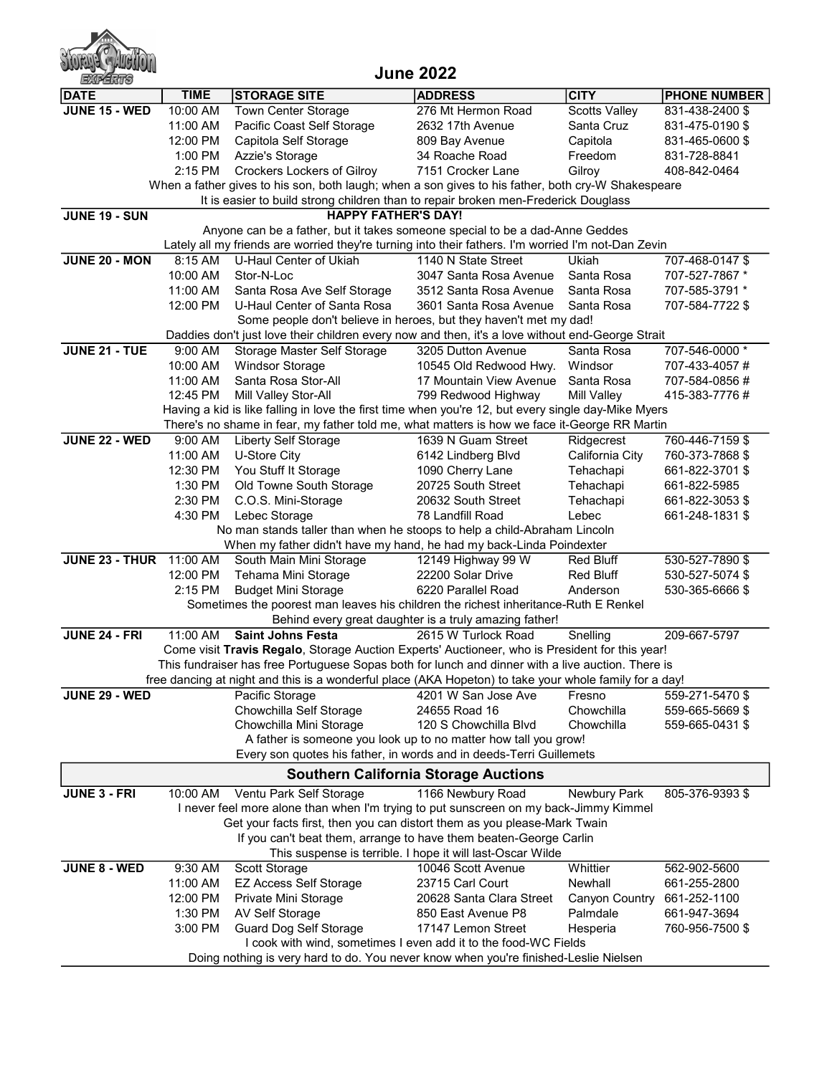| <b>June 2022</b>                                                                                                   |                                                                                     |                                                                                                                                                 |                                                            |                          |                                    |  |  |
|--------------------------------------------------------------------------------------------------------------------|-------------------------------------------------------------------------------------|-------------------------------------------------------------------------------------------------------------------------------------------------|------------------------------------------------------------|--------------------------|------------------------------------|--|--|
| <b>DATE</b>                                                                                                        | <b>TIME</b>                                                                         | <b>STORAGE SITE</b>                                                                                                                             | <b>ADDRESS</b>                                             | <b>CITY</b>              | <b>PHONE NUMBER</b>                |  |  |
| <b>JUNE 15 - WED</b>                                                                                               | 10:00 AM                                                                            | Town Center Storage                                                                                                                             | 276 Mt Hermon Road                                         | <b>Scotts Valley</b>     | 831-438-2400 \$                    |  |  |
|                                                                                                                    | 11:00 AM                                                                            | Pacific Coast Self Storage                                                                                                                      | 2632 17th Avenue                                           | Santa Cruz               | 831-475-0190 \$                    |  |  |
|                                                                                                                    | 12:00 PM                                                                            | Capitola Self Storage                                                                                                                           | 809 Bay Avenue                                             | Capitola                 | 831-465-0600 \$                    |  |  |
|                                                                                                                    | 1:00 PM                                                                             | Azzie's Storage                                                                                                                                 | 34 Roache Road                                             | Freedom                  | 831-728-8841                       |  |  |
|                                                                                                                    | 2:15 PM                                                                             | <b>Crockers Lockers of Gilroy</b>                                                                                                               | 7151 Crocker Lane                                          | Gilroy                   | 408-842-0464                       |  |  |
|                                                                                                                    |                                                                                     | When a father gives to his son, both laugh; when a son gives to his father, both cry-W Shakespeare                                              |                                                            |                          |                                    |  |  |
|                                                                                                                    |                                                                                     | It is easier to build strong children than to repair broken men-Frederick Douglass                                                              |                                                            |                          |                                    |  |  |
| <b>JUNE 19 - SUN</b>                                                                                               |                                                                                     | <b>HAPPY FATHER'S DAY!</b>                                                                                                                      |                                                            |                          |                                    |  |  |
|                                                                                                                    |                                                                                     | Anyone can be a father, but it takes someone special to be a dad-Anne Geddes                                                                    |                                                            |                          |                                    |  |  |
|                                                                                                                    |                                                                                     | Lately all my friends are worried they're turning into their fathers. I'm worried I'm not-Dan Zevin                                             |                                                            |                          |                                    |  |  |
| JUNE 20 - MON                                                                                                      | 8:15 AM<br>10:00 AM                                                                 | U-Haul Center of Ukiah                                                                                                                          | 1140 N State Street                                        | Ukiah<br>Santa Rosa      | 707-468-0147 \$                    |  |  |
|                                                                                                                    |                                                                                     | Stor-N-Loc                                                                                                                                      | 3047 Santa Rosa Avenue                                     |                          | 707-527-7867 *                     |  |  |
|                                                                                                                    | 11:00 AM                                                                            | Santa Rosa Ave Self Storage                                                                                                                     | 3512 Santa Rosa Avenue                                     | Santa Rosa               | 707-585-3791 *                     |  |  |
|                                                                                                                    | 12:00 PM                                                                            | U-Haul Center of Santa Rosa<br>Some people don't believe in heroes, but they haven't met my dad!                                                | 3601 Santa Rosa Avenue                                     | Santa Rosa               | 707-584-7722 \$                    |  |  |
|                                                                                                                    |                                                                                     | Daddies don't just love their children every now and then, it's a love without end-George Strait                                                |                                                            |                          |                                    |  |  |
| <b>JUNE 21 - TUE</b>                                                                                               | 9:00 AM                                                                             | Storage Master Self Storage                                                                                                                     | 3205 Dutton Avenue                                         | Santa Rosa               | 707-546-0000 *                     |  |  |
|                                                                                                                    | 10:00 AM                                                                            | <b>Windsor Storage</b>                                                                                                                          | 10545 Old Redwood Hwy.                                     | Windsor                  | 707-433-4057#                      |  |  |
|                                                                                                                    | 11:00 AM                                                                            | Santa Rosa Stor-All                                                                                                                             | 17 Mountain View Avenue                                    | Santa Rosa               | 707-584-0856 #                     |  |  |
|                                                                                                                    | 12:45 PM                                                                            | Mill Valley Stor-All                                                                                                                            | 799 Redwood Highway                                        | <b>Mill Valley</b>       | 415-383-7776#                      |  |  |
|                                                                                                                    |                                                                                     | Having a kid is like falling in love the first time when you're 12, but every single day-Mike Myers                                             |                                                            |                          |                                    |  |  |
|                                                                                                                    |                                                                                     | There's no shame in fear, my father told me, what matters is how we face it-George RR Martin                                                    |                                                            |                          |                                    |  |  |
| <b>JUNE 22 - WED</b>                                                                                               | $9:00$ AM                                                                           | Liberty Self Storage                                                                                                                            | 1639 N Guam Street                                         | Ridgecrest               | 760-446-7159 \$                    |  |  |
|                                                                                                                    | 11:00 AM                                                                            | U-Store City                                                                                                                                    | 6142 Lindberg Blvd                                         | California City          | 760-373-7868 \$                    |  |  |
|                                                                                                                    | 12:30 PM                                                                            | You Stuff It Storage                                                                                                                            | 1090 Cherry Lane                                           | Tehachapi                | 661-822-3701 \$                    |  |  |
|                                                                                                                    | 1:30 PM                                                                             | Old Towne South Storage                                                                                                                         | 20725 South Street                                         | Tehachapi                | 661-822-5985                       |  |  |
|                                                                                                                    | 2:30 PM                                                                             | C.O.S. Mini-Storage                                                                                                                             | 20632 South Street                                         | Tehachapi                | 661-822-3053 \$                    |  |  |
|                                                                                                                    | 4:30 PM                                                                             | Lebec Storage                                                                                                                                   | 78 Landfill Road                                           | Lebec                    | 661-248-1831 \$                    |  |  |
|                                                                                                                    |                                                                                     | No man stands taller than when he stoops to help a child-Abraham Lincoln<br>When my father didn't have my hand, he had my back-Linda Poindexter |                                                            |                          |                                    |  |  |
| <b>JUNE 23 - THUR</b> 11:00 AM                                                                                     |                                                                                     | South Main Mini Storage                                                                                                                         | 12149 Highway 99 W                                         | <b>Red Bluff</b>         | 530-527-7890 \$                    |  |  |
|                                                                                                                    | 12:00 PM                                                                            | Tehama Mini Storage                                                                                                                             | 22200 Solar Drive                                          | Red Bluff                | 530-527-5074 \$                    |  |  |
|                                                                                                                    | 2:15 PM                                                                             | <b>Budget Mini Storage</b>                                                                                                                      | 6220 Parallel Road                                         | Anderson                 | 530-365-6666 \$                    |  |  |
|                                                                                                                    | Sometimes the poorest man leaves his children the richest inheritance-Ruth E Renkel |                                                                                                                                                 |                                                            |                          |                                    |  |  |
|                                                                                                                    |                                                                                     |                                                                                                                                                 | Behind every great daughter is a truly amazing father!     |                          |                                    |  |  |
| JUNE 24 - FRI                                                                                                      |                                                                                     | 11:00 AM Saint Johns Festa                                                                                                                      | 2615 W Turlock Road                                        | Snelling                 | 209-667-5797                       |  |  |
|                                                                                                                    |                                                                                     | Come visit Travis Regalo, Storage Auction Experts' Auctioneer, who is President for this year!                                                  |                                                            |                          |                                    |  |  |
|                                                                                                                    |                                                                                     | This fundraiser has free Portuguese Sopas both for lunch and dinner with a live auction. There is                                               |                                                            |                          |                                    |  |  |
| <b>JUNE 29 - WED</b>                                                                                               |                                                                                     | free dancing at night and this is a wonderful place (AKA Hopeton) to take your whole family for a day!                                          |                                                            |                          |                                    |  |  |
|                                                                                                                    |                                                                                     | Pacific Storage                                                                                                                                 | 4201 W San Jose Ave<br>24655 Road 16                       | Fresno                   | 559-271-5470 \$                    |  |  |
|                                                                                                                    |                                                                                     | Chowchilla Self Storage<br>Chowchilla Mini Storage                                                                                              | 120 S Chowchilla Blvd                                      | Chowchilla<br>Chowchilla | 559-665-5669 \$<br>559-665-0431 \$ |  |  |
|                                                                                                                    |                                                                                     | A father is someone you look up to no matter how tall you grow!                                                                                 |                                                            |                          |                                    |  |  |
|                                                                                                                    |                                                                                     |                                                                                                                                                 |                                                            |                          |                                    |  |  |
| Every son quotes his father, in words and in deeds-Terri Guillemets<br><b>Southern California Storage Auctions</b> |                                                                                     |                                                                                                                                                 |                                                            |                          |                                    |  |  |
| JUNE 3 - FRI                                                                                                       | 10:00 AM                                                                            | Ventu Park Self Storage                                                                                                                         | 1166 Newbury Road                                          | Newbury Park             | 805-376-9393 \$                    |  |  |
|                                                                                                                    |                                                                                     | I never feel more alone than when I'm trying to put sunscreen on my back-Jimmy Kimmel                                                           |                                                            |                          |                                    |  |  |
|                                                                                                                    |                                                                                     | Get your facts first, then you can distort them as you please-Mark Twain                                                                        |                                                            |                          |                                    |  |  |
|                                                                                                                    | If you can't beat them, arrange to have them beaten-George Carlin                   |                                                                                                                                                 |                                                            |                          |                                    |  |  |
|                                                                                                                    |                                                                                     |                                                                                                                                                 | This suspense is terrible. I hope it will last-Oscar Wilde |                          |                                    |  |  |
| JUNE 8 - WED                                                                                                       | 9:30 AM                                                                             | Scott Storage                                                                                                                                   | 10046 Scott Avenue                                         | Whittier                 | 562-902-5600                       |  |  |
|                                                                                                                    | 11:00 AM                                                                            | <b>EZ Access Self Storage</b>                                                                                                                   | 23715 Carl Court                                           | Newhall                  | 661-255-2800                       |  |  |
|                                                                                                                    | 12:00 PM                                                                            | Private Mini Storage                                                                                                                            | 20628 Santa Clara Street                                   | Canyon Country           | 661-252-1100                       |  |  |
|                                                                                                                    | 1:30 PM                                                                             | AV Self Storage                                                                                                                                 | 850 East Avenue P8                                         | Palmdale                 | 661-947-3694                       |  |  |
|                                                                                                                    | 3:00 PM                                                                             | Guard Dog Self Storage                                                                                                                          | 17147 Lemon Street                                         | Hesperia                 | 760-956-7500 \$                    |  |  |
|                                                                                                                    |                                                                                     | I cook with wind, sometimes I even add it to the food-WC Fields                                                                                 |                                                            |                          |                                    |  |  |
| Doing nothing is very hard to do. You never know when you're finished-Leslie Nielsen                               |                                                                                     |                                                                                                                                                 |                                                            |                          |                                    |  |  |